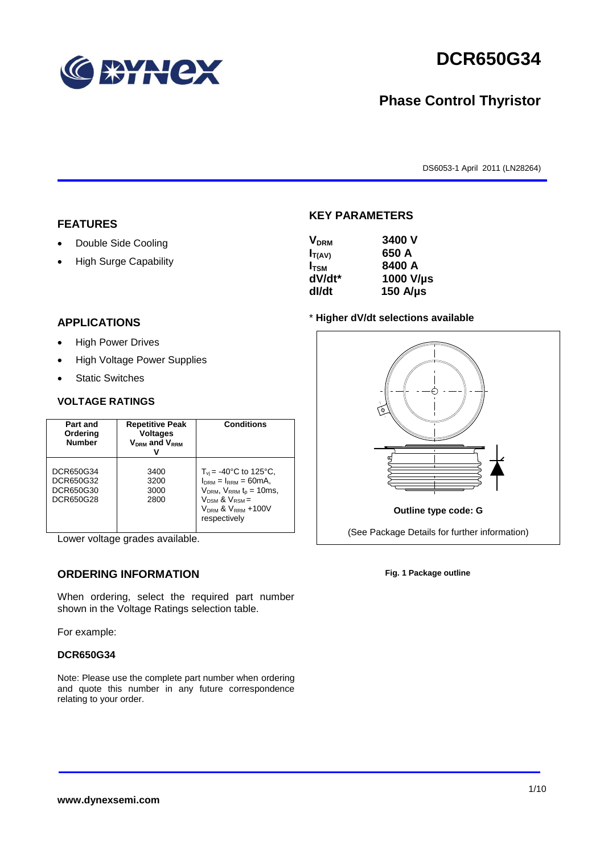

# **DCR650G34**

## **Phase Control Thyristor**

DS6053-1 April 2011 (LN28264)

#### **FEATURES**

- Double Side Cooling
- High Surge Capability

#### **APPLICATIONS**

- High Power Drives
- High Voltage Power Supplies
- Static Switches

#### **VOLTAGE RATINGS**

| Part and<br>Ordering<br><b>Number</b>            | <b>Repetitive Peak</b><br><b>Voltages</b><br>$V_{DRM}$ and $V_{RRM}$ | <b>Conditions</b>                                                                                                                                                                               |
|--------------------------------------------------|----------------------------------------------------------------------|-------------------------------------------------------------------------------------------------------------------------------------------------------------------------------------------------|
| DCR650G34<br>DCR650G32<br>DCR650G30<br>DCR650G28 | 3400<br>3200<br>3000<br>2800                                         | $T_{\rm vi}$ = -40°C to 125°C,<br>$I_{DRM} = I_{RRM} = 60mA$ ,<br>$V_{DRM}$ , $V_{RRM}$ $t_{p}$ = 10ms,<br>$V_{DSM}$ & $V_{RSM}$ =<br>V <sub>DRM</sub> & V <sub>RRM</sub> +100V<br>respectively |

Lower voltage grades available.

#### **ORDERING INFORMATION**

When ordering, select the required part number shown in the Voltage Ratings selection table.

For example:

#### **DCR650G34**

Note: Please use the complete part number when ordering and quote this number in any future correspondence relating to your order.

#### **KEY PARAMETERS**

| <b>V<sub>DRM</sub></b> | 3400 V        |
|------------------------|---------------|
| $I_{T(AV)}$            | 650 A         |
| $I_{\text{TSM}}$       | 8400 A        |
| dV/dt*                 | 1000 V/µs     |
| dl/dt                  | 150 $A/\mu s$ |

#### \* **Higher dV/dt selections available**



**Fig. 1 Package outline**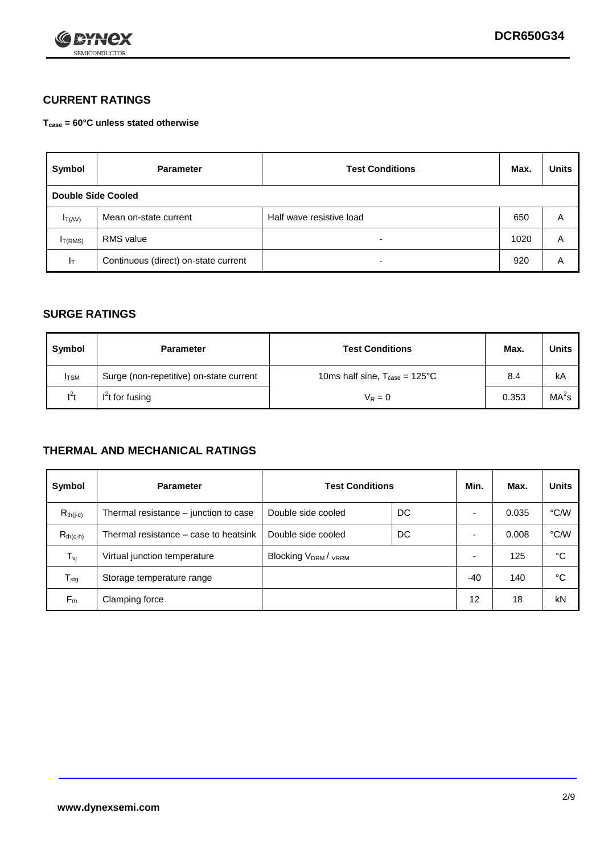

### **CURRENT RATINGS**

**Tcase = 60°C unless stated otherwise**

| Symbol              | <b>Parameter</b>                     | <b>Test Conditions</b>   |      | <b>Units</b> |  |
|---------------------|--------------------------------------|--------------------------|------|--------------|--|
| Double Side Cooled  |                                      |                          |      |              |  |
| $I_{T(AV)}$         | Mean on-state current                | Half wave resistive load | 650  | A            |  |
| I <sub>T(RMS)</sub> | <b>RMS</b> value                     | -                        | 1020 | A            |  |
| Iт                  | Continuous (direct) on-state current | $\overline{\phantom{0}}$ | 920  | Α            |  |

#### **SURGE RATINGS**

| Symbol       | <b>Parameter</b>                        | <b>Test Conditions</b>                            | Max.  | <b>Units</b>      |
|--------------|-----------------------------------------|---------------------------------------------------|-------|-------------------|
| <b>I</b> TSM | Surge (non-repetitive) on-state current | 10ms half sine, $T_{\text{case}} = 125^{\circ}$ C | 8.4   | kA                |
| $l^2t$       | I <sup>'</sup> t for fusing             | $V_R = 0$                                         | 0.353 | MA <sup>2</sup> s |

#### **THERMAL AND MECHANICAL RATINGS**

| Symbol           | <b>Parameter</b>                      | <b>Test Conditions</b>                      |    | Min.                     | Max.  | <b>Units</b> |
|------------------|---------------------------------------|---------------------------------------------|----|--------------------------|-------|--------------|
| $R_{th(j-c)}$    | Thermal resistance – junction to case | Double side cooled                          | DC |                          | 0.035 | °C/W         |
| $R_{th(c-h)}$    | Thermal resistance – case to heatsink | Double side cooled                          | DC |                          | 0.008 | °C/W         |
| $T_{\nu j}$      | Virtual junction temperature          | Blocking V <sub>DRM</sub> / <sub>VRRM</sub> |    | $\overline{\phantom{0}}$ | 125   | °C           |
| $T_{\text{stg}}$ | Storage temperature range             |                                             |    | -40                      | 140   | °C           |
| $F_m$            | Clamping force                        |                                             |    | 12                       | 18    | kN           |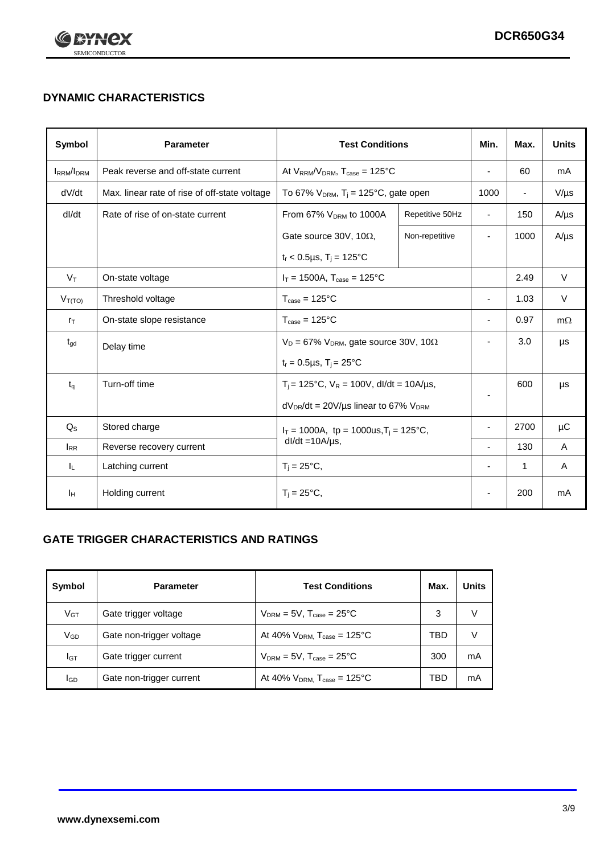

## **DYNAMIC CHARACTERISTICS**

| <b>Symbol</b>     | <b>Parameter</b>                              | <b>Test Conditions</b>                                                |                                                      | Min.                     | Max.                     | <b>Units</b> |
|-------------------|-----------------------------------------------|-----------------------------------------------------------------------|------------------------------------------------------|--------------------------|--------------------------|--------------|
| <b>IRRM</b> /IDRM | Peak reverse and off-state current            | At $V_{RRM}/V_{DRM}$ , $T_{case} = 125^{\circ}C$                      |                                                      |                          | 60                       | mA           |
| dV/dt             | Max. linear rate of rise of off-state voltage |                                                                       | To 67% $V_{DRM}$ , T <sub>i</sub> = 125°C, gate open |                          | $\overline{\phantom{a}}$ | $V/\mu s$    |
| dl/dt             | Rate of rise of on-state current              | From 67% V <sub>DRM</sub> to 1000A<br>Repetitive 50Hz                 |                                                      | $\overline{\phantom{a}}$ | 150                      | $A/\mu s$    |
|                   |                                               | Gate source 30V, 10 $\Omega$ ,                                        | Non-repetitive                                       | $\overline{\phantom{a}}$ | 1000                     | $A/\mu s$    |
|                   |                                               | $t_r$ < 0.5µs, $T_i$ = 125°C                                          |                                                      |                          |                          |              |
| $V_T$             | On-state voltage                              | $I_T = 1500A$ , $T_{case} = 125^{\circ}C$                             |                                                      |                          | 2.49                     | $\vee$       |
| $V_{T(TO)}$       | Threshold voltage                             | $T_{\text{case}} = 125^{\circ}C$                                      |                                                      |                          | 1.03                     | $\vee$       |
| $r_{\text{T}}$    | On-state slope resistance                     | $T_{\text{case}} = 125^{\circ}C$                                      |                                                      | $\blacksquare$           | 0.97                     | $m\Omega$    |
| $t_{\rm gd}$      | Delay time                                    | $V_D = 67\%$ V <sub>DRM</sub> , gate source 30V, 10 $\Omega$          |                                                      | $\overline{\phantom{a}}$ | 3.0                      | μs           |
|                   |                                               | $t_r = 0.5 \mu s$ , T <sub>i</sub> = 25°C                             |                                                      |                          |                          |              |
| $t_q$             | Turn-off time                                 | $T_i$ = 125°C, $V_R$ = 100V, dl/dt = 10A/µs,                          |                                                      |                          | 600                      | μs           |
|                   |                                               | $dV_{DR}/dt = 20V/\mu s$ linear to 67% $V_{DRM}$                      |                                                      |                          |                          |              |
| $Q_{\rm S}$       | Stored charge                                 | $I_T = 1000A$ , tp = 1000us, $T_i = 125$ °C,<br>$dl/dt = 10A/\mu s$ , |                                                      |                          | 2700                     | μC           |
| $I_{RR}$          | Reverse recovery current                      |                                                                       |                                                      | $\overline{\phantom{a}}$ | 130                      | A            |
| IL.               | Latching current                              | $T_i = 25^{\circ}C,$                                                  |                                                      | $\overline{\phantom{a}}$ | $\mathbf{1}$             | Α            |
| Iн                | Holding current                               | $T_i = 25^{\circ}C,$                                                  |                                                      |                          | 200                      | mA           |

### **GATE TRIGGER CHARACTERISTICS AND RATINGS**

| Symbol          | <b>Parameter</b>         | <b>Test Conditions</b>                       | Max. | <b>Units</b> |
|-----------------|--------------------------|----------------------------------------------|------|--------------|
| $V_{GT}$        | Gate trigger voltage     | $V_{DRM}$ = 5V, $T_{case}$ = 25°C            | 3    | V            |
| V <sub>GD</sub> | Gate non-trigger voltage | At 40% $V_{DRM}$ , $T_{case} = 125^{\circ}C$ | TBD  | V            |
| IGТ             | Gate trigger current     | $V_{DRM}$ = 5V, $T_{case}$ = 25°C            | 300  | mA           |
| lgp             | Gate non-trigger current | At 40% $V_{DRM}$ , $T_{case} = 125^{\circ}C$ | TBD  | mA           |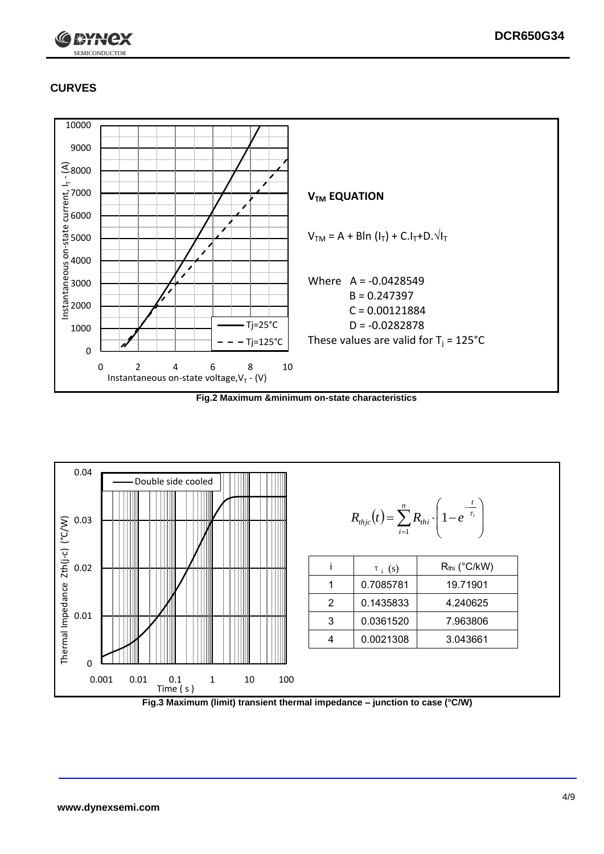

## **CURVES**



**Fig.2 Maximum &minimum on-state characteristics**



**Fig.3 Maximum (limit) transient thermal impedance – junction to case (°C/W)**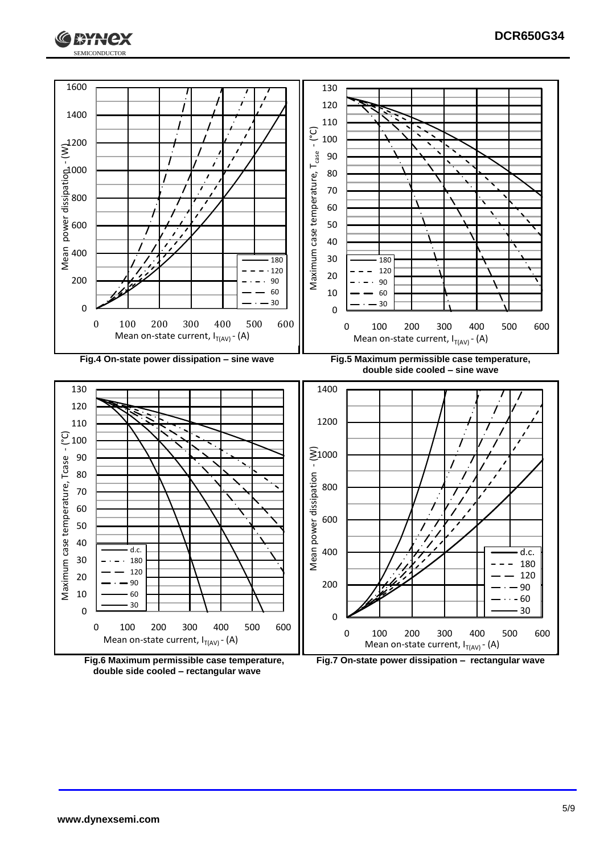



**double side cooled – rectangular wave**

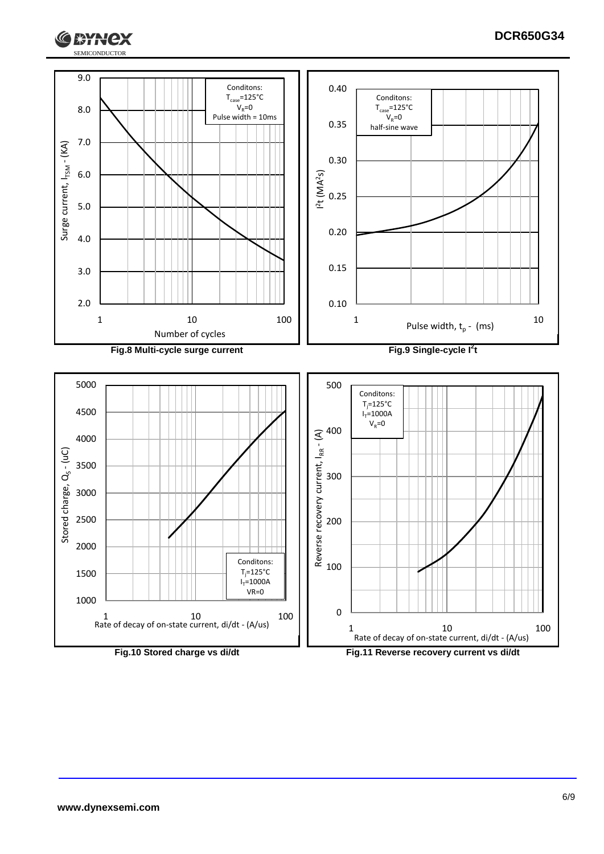

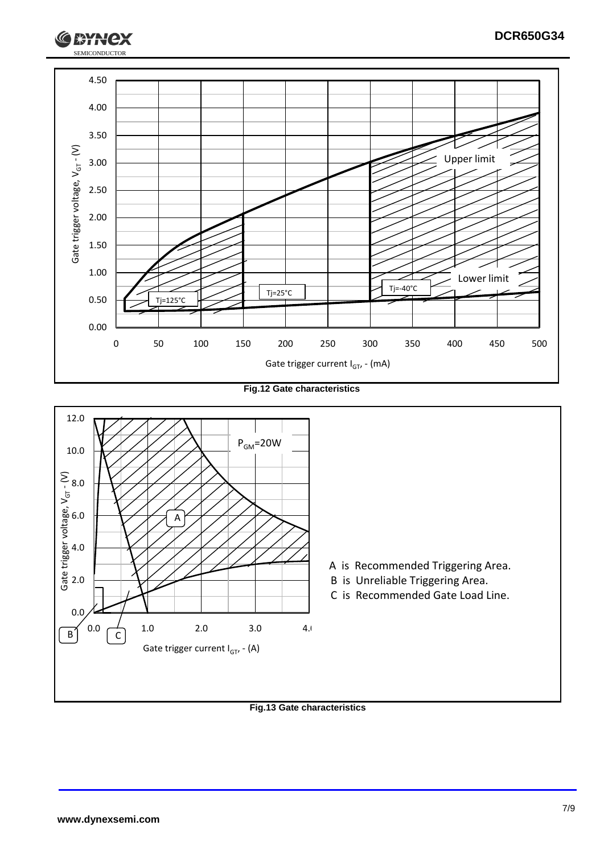

**Fig.12 Gate characteristics**



#### **Fig.13 Gate characteristics**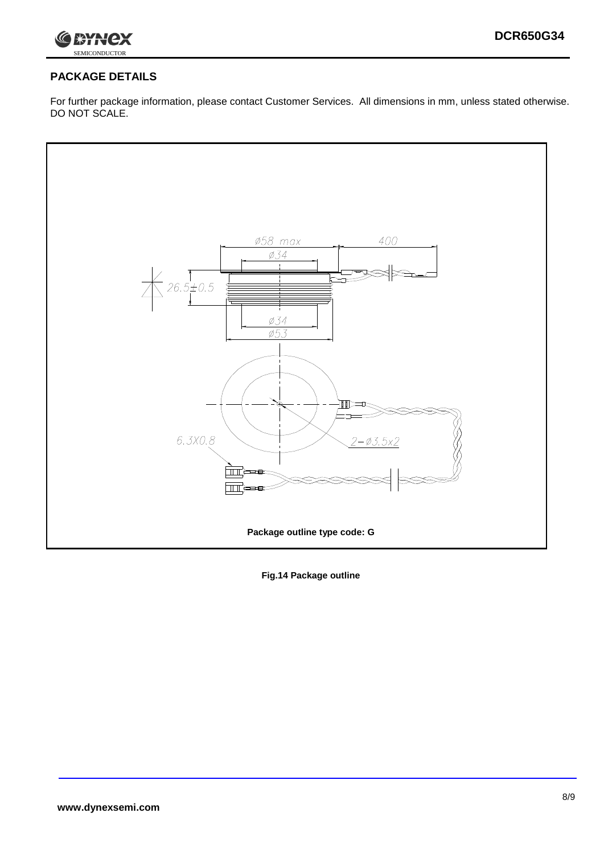

### **PACKAGE DETAILS**

For further package information, please contact Customer Services. All dimensions in mm, unless stated otherwise. DO NOT SCALE.



**Fig.14 Package outline**